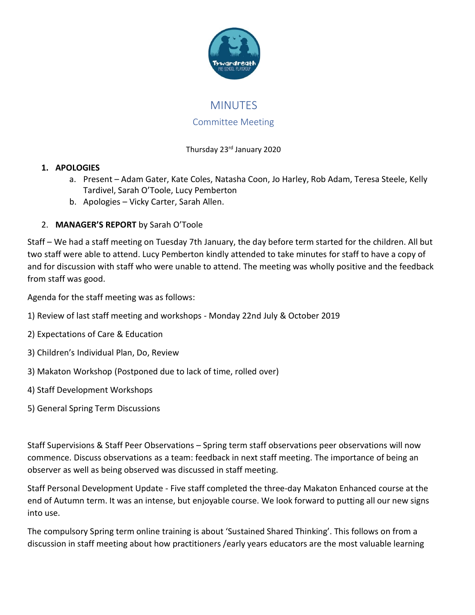

# MINUTES

### Committee Meeting

### Thursday 23rd January 2020

### **1. APOLOGIES**

- a. Present Adam Gater, Kate Coles, Natasha Coon, Jo Harley, Rob Adam, Teresa Steele, Kelly Tardivel, Sarah O'Toole, Lucy Pemberton
- b. Apologies Vicky Carter, Sarah Allen.

## 2. **MANAGER'S REPORT** by Sarah O'Toole

Staff – We had a staff meeting on Tuesday 7th January, the day before term started for the children. All but two staff were able to attend. Lucy Pemberton kindly attended to take minutes for staff to have a copy of and for discussion with staff who were unable to attend. The meeting was wholly positive and the feedback from staff was good.

Agenda for the staff meeting was as follows:

- 1) Review of last staff meeting and workshops Monday 22nd July & October 2019
- 2) Expectations of Care & Education
- 3) Children's Individual Plan, Do, Review
- 3) Makaton Workshop (Postponed due to lack of time, rolled over)
- 4) Staff Development Workshops
- 5) General Spring Term Discussions

Staff Supervisions & Staff Peer Observations – Spring term staff observations peer observations will now commence. Discuss observations as a team: feedback in next staff meeting. The importance of being an observer as well as being observed was discussed in staff meeting.

Staff Personal Development Update - Five staff completed the three-day Makaton Enhanced course at the end of Autumn term. It was an intense, but enjoyable course. We look forward to putting all our new signs into use.

The compulsory Spring term online training is about 'Sustained Shared Thinking'. This follows on from a discussion in staff meeting about how practitioners /early years educators are the most valuable learning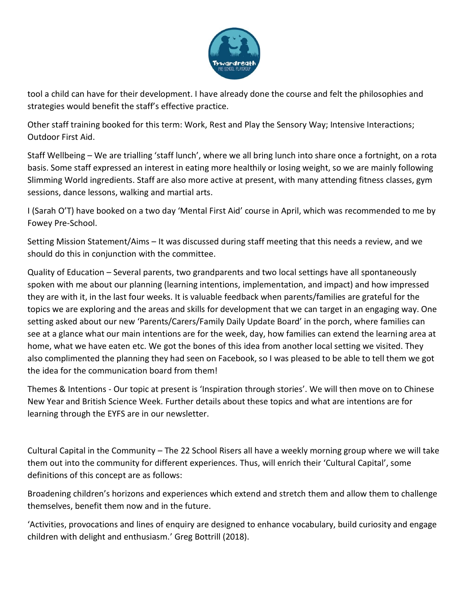

tool a child can have for their development. I have already done the course and felt the philosophies and strategies would benefit the staff's effective practice.

Other staff training booked for this term: Work, Rest and Play the Sensory Way; Intensive Interactions; Outdoor First Aid.

Staff Wellbeing – We are trialling 'staff lunch', where we all bring lunch into share once a fortnight, on a rota basis. Some staff expressed an interest in eating more healthily or losing weight, so we are mainly following Slimming World ingredients. Staff are also more active at present, with many attending fitness classes, gym sessions, dance lessons, walking and martial arts.

I (Sarah O'T) have booked on a two day 'Mental First Aid' course in April, which was recommended to me by Fowey Pre-School.

Setting Mission Statement/Aims – It was discussed during staff meeting that this needs a review, and we should do this in conjunction with the committee.

Quality of Education – Several parents, two grandparents and two local settings have all spontaneously spoken with me about our planning (learning intentions, implementation, and impact) and how impressed they are with it, in the last four weeks. It is valuable feedback when parents/families are grateful for the topics we are exploring and the areas and skills for development that we can target in an engaging way. One setting asked about our new 'Parents/Carers/Family Daily Update Board' in the porch, where families can see at a glance what our main intentions are for the week, day, how families can extend the learning area at home, what we have eaten etc. We got the bones of this idea from another local setting we visited. They also complimented the planning they had seen on Facebook, so I was pleased to be able to tell them we got the idea for the communication board from them!

Themes & Intentions - Our topic at present is 'Inspiration through stories'. We will then move on to Chinese New Year and British Science Week. Further details about these topics and what are intentions are for learning through the EYFS are in our newsletter.

Cultural Capital in the Community – The 22 School Risers all have a weekly morning group where we will take them out into the community for different experiences. Thus, will enrich their 'Cultural Capital', some definitions of this concept are as follows:

Broadening children's horizons and experiences which extend and stretch them and allow them to challenge themselves, benefit them now and in the future.

'Activities, provocations and lines of enquiry are designed to enhance vocabulary, build curiosity and engage children with delight and enthusiasm.' [Greg Bottrill \(2018\).](https://books.google.co.uk/books/about/Can_I_Go_and_Play_Now.html?id=8D43tAEACAAJ&source=kp_book_description&redir_esc=y)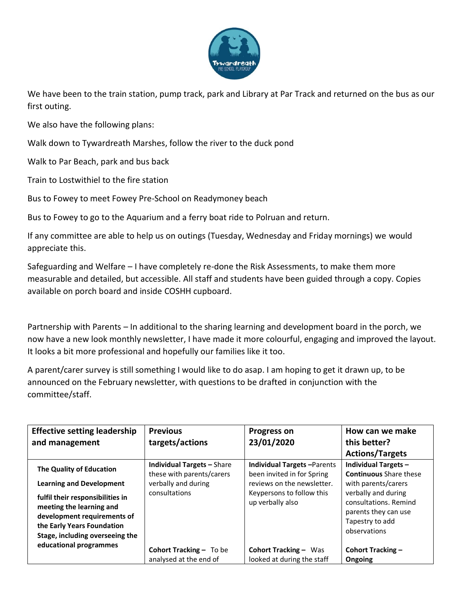

We have been to the train station, pump track, park and Library at Par Track and returned on the bus as our first outing.

We also have the following plans:

Walk down to Tywardreath Marshes, follow the river to the duck pond

Walk to Par Beach, park and bus back

Train to Lostwithiel to the fire station

Bus to Fowey to meet Fowey Pre-School on Readymoney beach

Bus to Fowey to go to the Aquarium and a ferry boat ride to Polruan and return.

If any committee are able to help us on outings (Tuesday, Wednesday and Friday mornings) we would appreciate this.

Safeguarding and Welfare – I have completely re-done the Risk Assessments, to make them more measurable and detailed, but accessible. All staff and students have been guided through a copy. Copies available on porch board and inside COSHH cupboard.

Partnership with Parents – In additional to the sharing learning and development board in the porch, we now have a new look monthly newsletter, I have made it more colourful, engaging and improved the layout. It looks a bit more professional and hopefully our families like it too.

A parent/carer survey is still something I would like to do asap. I am hoping to get it drawn up, to be announced on the February newsletter, with questions to be drafted in conjunction with the committee/staff.

| <b>Effective setting leadership</b>                                                                                                                                                                                         | <b>Previous</b>                                                                                        | <b>Progress on</b>                                                                                                                             | How can we make                                                                                                                                                                         |
|-----------------------------------------------------------------------------------------------------------------------------------------------------------------------------------------------------------------------------|--------------------------------------------------------------------------------------------------------|------------------------------------------------------------------------------------------------------------------------------------------------|-----------------------------------------------------------------------------------------------------------------------------------------------------------------------------------------|
| and management                                                                                                                                                                                                              | targets/actions                                                                                        | 23/01/2020                                                                                                                                     | this better?                                                                                                                                                                            |
|                                                                                                                                                                                                                             |                                                                                                        |                                                                                                                                                | <b>Actions/Targets</b>                                                                                                                                                                  |
| The Quality of Education<br><b>Learning and Development</b><br>fulfil their responsibilities in<br>meeting the learning and<br>development requirements of<br>the Early Years Foundation<br>Stage, including overseeing the | <b>Individual Targets - Share</b><br>these with parents/carers<br>verbally and during<br>consultations | <b>Individual Targets-Parents</b><br>been invited in for Spring<br>reviews on the newsletter.<br>Keypersons to follow this<br>up verbally also | Individual Targets -<br><b>Continuous</b> Share these<br>with parents/carers<br>verbally and during<br>consultations. Remind<br>parents they can use<br>Tapestry to add<br>observations |
| educational programmes                                                                                                                                                                                                      | Cohort Tracking - To be<br>analysed at the end of                                                      | <b>Cohort Tracking - Was</b><br>looked at during the staff                                                                                     | <b>Cohort Tracking -</b><br>Ongoing                                                                                                                                                     |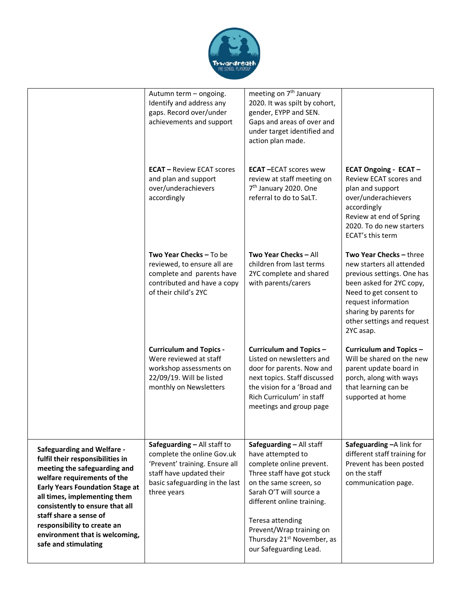

|                                                                                                                                                                                                                                                                                                                                                                      | Autumn term - ongoing.<br>Identify and address any<br>gaps. Record over/under<br>achievements and support                                                                | meeting on 7 <sup>th</sup> January<br>2020. It was spilt by cohort,<br>gender, EYPP and SEN.<br>Gaps and areas of over and<br>under target identified and<br>action plan made.                                                                                                                                 |                                                                                                                                                                                                                                      |
|----------------------------------------------------------------------------------------------------------------------------------------------------------------------------------------------------------------------------------------------------------------------------------------------------------------------------------------------------------------------|--------------------------------------------------------------------------------------------------------------------------------------------------------------------------|----------------------------------------------------------------------------------------------------------------------------------------------------------------------------------------------------------------------------------------------------------------------------------------------------------------|--------------------------------------------------------------------------------------------------------------------------------------------------------------------------------------------------------------------------------------|
|                                                                                                                                                                                                                                                                                                                                                                      | <b>ECAT</b> – Review ECAT scores<br>and plan and support<br>over/underachievers<br>accordingly                                                                           | <b>ECAT-ECAT scores wew</b><br>review at staff meeting on<br>7 <sup>th</sup> January 2020. One<br>referral to do to SaLT.                                                                                                                                                                                      | <b>ECAT Ongoing - ECAT -</b><br>Review ECAT scores and<br>plan and support<br>over/underachievers<br>accordingly<br>Review at end of Spring<br>2020. To do new starters<br>ECAT's this term                                          |
|                                                                                                                                                                                                                                                                                                                                                                      | <b>Two Year Checks - To be</b><br>reviewed, to ensure all are<br>complete and parents have<br>contributed and have a copy<br>of their child's 2YC                        | Two Year Checks - All<br>children from last terms<br>2YC complete and shared<br>with parents/carers                                                                                                                                                                                                            | Two Year Checks - three<br>new starters all attended<br>previous settings. One has<br>been asked for 2YC copy,<br>Need to get consent to<br>request information<br>sharing by parents for<br>other settings and request<br>2YC asap. |
|                                                                                                                                                                                                                                                                                                                                                                      | <b>Curriculum and Topics -</b><br>Were reviewed at staff<br>workshop assessments on<br>22/09/19. Will be listed<br>monthly on Newsletters                                | Curriculum and Topics-<br>Listed on newsletters and<br>door for parents. Now and<br>next topics. Staff discussed<br>the vision for a 'Broad and<br>Rich Curriculum' in staff<br>meetings and group page                                                                                                        | Curriculum and Topics -<br>Will be shared on the new<br>parent update board in<br>porch, along with ways<br>that learning can be<br>supported at home                                                                                |
| <b>Safeguarding and Welfare -</b><br>fulfil their responsibilities in<br>meeting the safeguarding and<br>welfare requirements of the<br><b>Early Years Foundation Stage at</b><br>all times, implementing them<br>consistently to ensure that all<br>staff share a sense of<br>responsibility to create an<br>environment that is welcoming,<br>safe and stimulating | Safeguarding - All staff to<br>complete the online Gov.uk<br>'Prevent' training. Ensure all<br>staff have updated their<br>basic safeguarding in the last<br>three years | Safeguarding - All staff<br>have attempted to<br>complete online prevent.<br>Three staff have got stuck<br>on the same screen, so<br>Sarah O'T will source a<br>different online training.<br>Teresa attending<br>Prevent/Wrap training on<br>Thursday 21 <sup>st</sup> November, as<br>our Safeguarding Lead. | Safeguarding - A link for<br>different staff training for<br>Prevent has been posted<br>on the staff<br>communication page.                                                                                                          |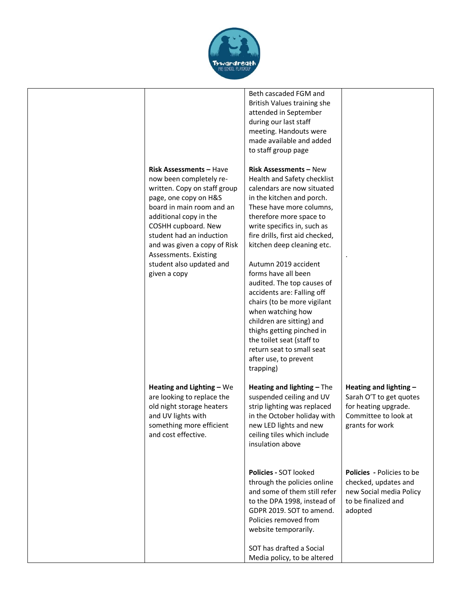

| <b>Risk Assessments - Have</b><br>now been completely re-<br>written. Copy on staff group<br>page, one copy on H&S<br>board in main room and an<br>additional copy in the<br>COSHH cupboard. New<br>student had an induction<br>and was given a copy of Risk<br>Assessments. Existing<br>student also updated and<br>given a copy | Beth cascaded FGM and<br>British Values training she<br>attended in September<br>during our last staff<br>meeting. Handouts were<br>made available and added<br>to staff group page<br><b>Risk Assessments - New</b><br>Health and Safety checklist<br>calendars are now situated<br>in the kitchen and porch.<br>These have more columns,<br>therefore more space to<br>write specifics in, such as<br>fire drills, first aid checked,<br>kitchen deep cleaning etc.<br>Autumn 2019 accident<br>forms have all been<br>audited. The top causes of<br>accidents are: Falling off<br>chairs (to be more vigilant<br>when watching how<br>children are sitting) and<br>thighs getting pinched in<br>the toilet seat (staff to |                                                                                                                       |
|-----------------------------------------------------------------------------------------------------------------------------------------------------------------------------------------------------------------------------------------------------------------------------------------------------------------------------------|-----------------------------------------------------------------------------------------------------------------------------------------------------------------------------------------------------------------------------------------------------------------------------------------------------------------------------------------------------------------------------------------------------------------------------------------------------------------------------------------------------------------------------------------------------------------------------------------------------------------------------------------------------------------------------------------------------------------------------|-----------------------------------------------------------------------------------------------------------------------|
| Heating and Lighting $-$ We<br>are looking to replace the<br>old night storage heaters<br>and UV lights with<br>something more efficient<br>and cost effective.                                                                                                                                                                   | return seat to small seat<br>after use, to prevent<br>trapping)<br>Heating and lighting - The<br>suspended ceiling and UV<br>strip lighting was replaced<br>in the October holiday with<br>new LED lights and new<br>ceiling tiles which include<br>insulation above                                                                                                                                                                                                                                                                                                                                                                                                                                                        | Heating and lighting -<br>Sarah O'T to get quotes<br>for heating upgrade.<br>Committee to look at<br>grants for work  |
|                                                                                                                                                                                                                                                                                                                                   | Policies - SOT looked<br>through the policies online<br>and some of them still refer<br>to the DPA 1998, instead of<br>GDPR 2019. SOT to amend.<br>Policies removed from<br>website temporarily.<br>SOT has drafted a Social<br>Media policy, to be altered                                                                                                                                                                                                                                                                                                                                                                                                                                                                 | <b>Policies</b> - Policies to be<br>checked, updates and<br>new Social media Policy<br>to be finalized and<br>adopted |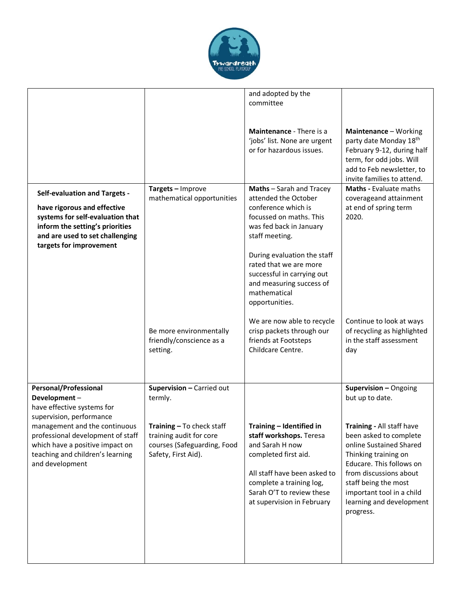

|                                                                                                                                                                                                                                                                        |                                                                                                                                                    | and adopted by the<br>committee<br>Maintenance - There is a<br>'jobs' list. None are urgent<br>or for hazardous issues.                                                                                                                                                                                                            | Maintenance - Working<br>party date Monday 18th<br>February 9-12, during half<br>term, for odd jobs. Will<br>add to Feb newsletter, to<br>invite families to attend.                                                                                                                                   |
|------------------------------------------------------------------------------------------------------------------------------------------------------------------------------------------------------------------------------------------------------------------------|----------------------------------------------------------------------------------------------------------------------------------------------------|------------------------------------------------------------------------------------------------------------------------------------------------------------------------------------------------------------------------------------------------------------------------------------------------------------------------------------|--------------------------------------------------------------------------------------------------------------------------------------------------------------------------------------------------------------------------------------------------------------------------------------------------------|
| <b>Self-evaluation and Targets -</b><br>have rigorous and effective<br>systems for self-evaluation that<br>inform the setting's priorities<br>and are used to set challenging<br>targets for improvement                                                               | Targets - Improve<br>mathematical opportunities                                                                                                    | Maths - Sarah and Tracey<br>attended the October<br>conference which is<br>focussed on maths. This<br>was fed back in January<br>staff meeting.<br>During evaluation the staff<br>rated that we are more<br>successful in carrying out<br>and measuring success of<br>mathematical<br>opportunities.<br>We are now able to recycle | <b>Maths - Evaluate maths</b><br>coverageand attainment<br>at end of spring term<br>2020.<br>Continue to look at ways                                                                                                                                                                                  |
|                                                                                                                                                                                                                                                                        | Be more environmentally<br>friendly/conscience as a<br>setting.                                                                                    | crisp packets through our<br>friends at Footsteps<br>Childcare Centre.                                                                                                                                                                                                                                                             | of recycling as highlighted<br>in the staff assessment<br>day                                                                                                                                                                                                                                          |
| <b>Personal/Professional</b><br>Development-<br>have effective systems for<br>supervision, performance<br>management and the continuous<br>professional development of staff<br>which have a positive impact on<br>teaching and children's learning<br>and development | Supervision - Carried out<br>termly.<br>Training - To check staff<br>training audit for core<br>courses (Safeguarding, Food<br>Safety, First Aid). | Training - Identified in<br>staff workshops. Teresa<br>and Sarah H now<br>completed first aid.<br>All staff have been asked to<br>complete a training log,<br>Sarah O'T to review these<br>at supervision in February                                                                                                              | Supervision - Ongoing<br>but up to date.<br>Training - All staff have<br>been asked to complete<br>online Sustained Shared<br>Thinking training on<br>Educare. This follows on<br>from discussions about<br>staff being the most<br>important tool in a child<br>learning and development<br>progress. |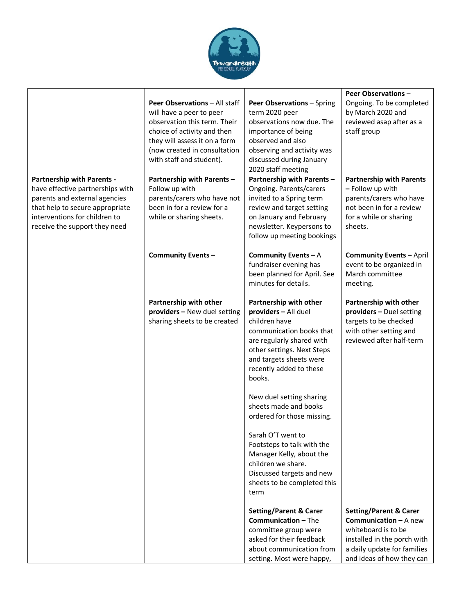

|                                   |                                                          |                                                        | <b>Peer Observations -</b>                                 |
|-----------------------------------|----------------------------------------------------------|--------------------------------------------------------|------------------------------------------------------------|
|                                   | Peer Observations - All staff                            | Peer Observations - Spring                             | Ongoing. To be completed                                   |
|                                   | will have a peer to peer                                 | term 2020 peer                                         | by March 2020 and                                          |
|                                   | observation this term. Their                             | observations now due. The                              | reviewed asap after as a                                   |
|                                   | choice of activity and then                              | importance of being                                    | staff group                                                |
|                                   | they will assess it on a form                            | observed and also                                      |                                                            |
|                                   | (now created in consultation<br>with staff and student). | observing and activity was<br>discussed during January |                                                            |
|                                   |                                                          | 2020 staff meeting                                     |                                                            |
| <b>Partnership with Parents -</b> | Partnership with Parents -                               | Partnership with Parents -                             | <b>Partnership with Parents</b>                            |
| have effective partnerships with  | Follow up with                                           | Ongoing. Parents/carers                                | - Follow up with                                           |
| parents and external agencies     | parents/carers who have not                              | invited to a Spring term                               | parents/carers who have                                    |
| that help to secure appropriate   | been in for a review for a                               | review and target setting                              | not been in for a review                                   |
| interventions for children to     | while or sharing sheets.                                 | on January and February                                | for a while or sharing                                     |
| receive the support they need     |                                                          | newsletter. Keypersons to                              | sheets.                                                    |
|                                   |                                                          | follow up meeting bookings                             |                                                            |
|                                   | <b>Community Events -</b>                                | Community Events $-A$                                  | <b>Community Events - April</b>                            |
|                                   |                                                          | fundraiser evening has                                 | event to be organized in                                   |
|                                   |                                                          | been planned for April. See                            | March committee                                            |
|                                   |                                                          | minutes for details.                                   | meeting.                                                   |
|                                   | Partnership with other                                   | Partnership with other                                 | Partnership with other                                     |
|                                   | providers - New duel setting                             | providers - All duel                                   | providers - Duel setting                                   |
|                                   | sharing sheets to be created                             | children have                                          | targets to be checked                                      |
|                                   |                                                          | communication books that                               | with other setting and                                     |
|                                   |                                                          | are regularly shared with                              | reviewed after half-term                                   |
|                                   |                                                          | other settings. Next Steps                             |                                                            |
|                                   |                                                          | and targets sheets were                                |                                                            |
|                                   |                                                          | recently added to these<br>books.                      |                                                            |
|                                   |                                                          |                                                        |                                                            |
|                                   |                                                          | New duel setting sharing                               |                                                            |
|                                   |                                                          | sheets made and books                                  |                                                            |
|                                   |                                                          | ordered for those missing.                             |                                                            |
|                                   |                                                          | Sarah O'T went to                                      |                                                            |
|                                   |                                                          | Footsteps to talk with the                             |                                                            |
|                                   |                                                          | Manager Kelly, about the                               |                                                            |
|                                   |                                                          | children we share.                                     |                                                            |
|                                   |                                                          | Discussed targets and new                              |                                                            |
|                                   |                                                          | sheets to be completed this                            |                                                            |
|                                   |                                                          | term                                                   |                                                            |
|                                   |                                                          | <b>Setting/Parent &amp; Carer</b>                      | <b>Setting/Parent &amp; Carer</b>                          |
|                                   |                                                          | <b>Communication - The</b>                             | <b>Communication - A new</b>                               |
|                                   |                                                          | committee group were<br>asked for their feedback       | whiteboard is to be                                        |
|                                   |                                                          | about communication from                               | installed in the porch with<br>a daily update for families |
|                                   |                                                          | setting. Most were happy,                              | and ideas of how they can                                  |
|                                   |                                                          |                                                        |                                                            |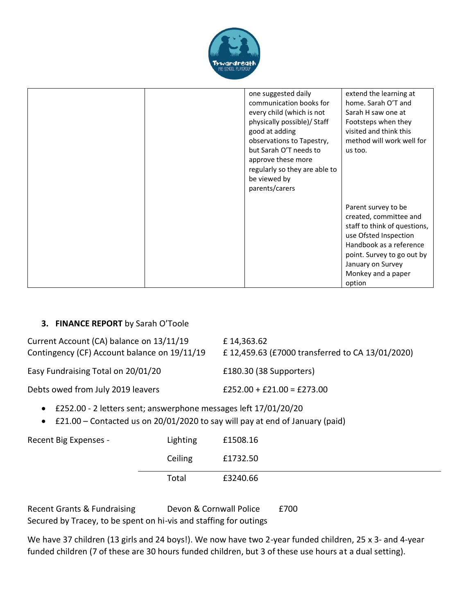

| one suggested daily<br>communication books for<br>every child (which is not<br>physically possible)/ Staff<br>good at adding<br>observations to Tapestry,<br>but Sarah O'T needs to<br>approve these more<br>regularly so they are able to<br>be viewed by<br>parents/carers | extend the learning at<br>home. Sarah O'T and<br>Sarah H saw one at<br>Footsteps when they<br>visited and think this<br>method will work well for<br>us too.                                                         |
|------------------------------------------------------------------------------------------------------------------------------------------------------------------------------------------------------------------------------------------------------------------------------|----------------------------------------------------------------------------------------------------------------------------------------------------------------------------------------------------------------------|
|                                                                                                                                                                                                                                                                              | Parent survey to be<br>created, committee and<br>staff to think of questions,<br>use Ofsted Inspection<br>Handbook as a reference<br>point. Survey to go out by<br>January on Survey<br>Monkey and a paper<br>option |

#### **3. FINANCE REPORT** by Sarah O'Toole

| Current Account (CA) balance on 13/11/19<br>Contingency (CF) Account balance on 19/11/19 | £14,363.62<br>£12,459.63 (£7000 transferred to CA 13/01/2020) |
|------------------------------------------------------------------------------------------|---------------------------------------------------------------|
| Easy Fundraising Total on 20/01/20                                                       | £180.30 (38 Supporters)                                       |
| Debts owed from July 2019 leavers                                                        | $£252.00 + £21.00 = £273.00$                                  |

- £252.00 2 letters sent; answerphone messages left 17/01/20/20
- £21.00 Contacted us on 20/01/2020 to say will pay at end of January (paid)

| Recent Big Expenses - | Lighting | £1508.16 |
|-----------------------|----------|----------|
|                       | Ceiling  | £1732.50 |
|                       | Total    | £3240.66 |

Recent Grants & Fundraising Devon & Cornwall Police £700 Secured by Tracey, to be spent on hi-vis and staffing for outings

We have 37 children (13 girls and 24 boys!). We now have two 2-year funded children, 25 x 3- and 4-year funded children (7 of these are 30 hours funded children, but 3 of these use hours at a dual setting).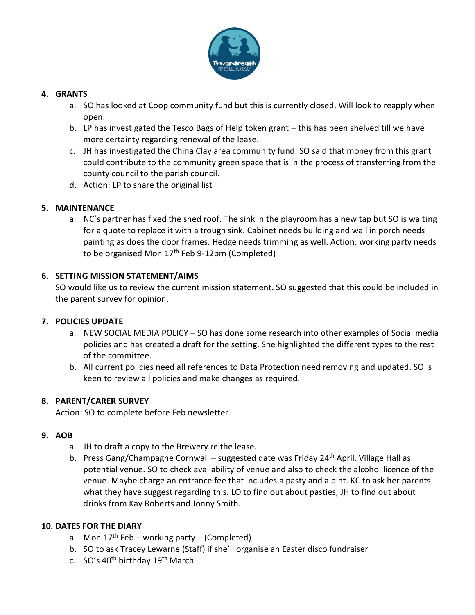

#### **4. GRANTS**

- a. SO has looked at Coop community fund but this is currently closed. Will look to reapply when open.
- b. LP has investigated the Tesco Bags of Help token grant this has been shelved till we have more certainty regarding renewal of the lease.
- c. JH has investigated the China Clay area community fund. SO said that money from this grant could contribute to the community green space that is in the process of transferring from the county council to the parish council.
- d. Action: LP to share the original list

#### **5. MAINTENANCE**

a. NC's partner has fixed the shed roof. The sink in the playroom has a new tap but SO is waiting for a quote to replace it with a trough sink. Cabinet needs building and wall in porch needs painting as does the door frames. Hedge needs trimming as well. Action: working party needs to be organised Mon  $17<sup>th</sup>$  Feb 9-12pm (Completed)

#### **6. SETTING MISSION STATEMENT/AIMS**

SO would like us to review the current mission statement. SO suggested that this could be included in the parent survey for opinion.

#### **7. POLICIES UPDATE**

- a. NEW SOCIAL MEDIA POLICY SO has done some research into other examples of Social media policies and has created a draft for the setting. She highlighted the different types to the rest of the committee.
- b. All current policies need all references to Data Protection need removing and updated. SO is keen to review all policies and make changes as required.

#### **8. PARENT/CARER SURVEY**

Action: SO to complete before Feb newsletter

#### **9. AOB**

- a. JH to draft a copy to the Brewery re the lease.
- b. Press Gang/Champagne Cornwall suggested date was Friday 24<sup>th</sup> April. Village Hall as potential venue. SO to check availability of venue and also to check the alcohol licence of the venue. Maybe charge an entrance fee that includes a pasty and a pint. KC to ask her parents what they have suggest regarding this. LO to find out about pasties, JH to find out about drinks from Kay Roberts and Jonny Smith.

#### **10. DATES FOR THE DIARY**

- a. Mon  $17<sup>th</sup>$  Feb working party (Completed)
- b. SO to ask Tracey Lewarne (Staff) if she'll organise an Easter disco fundraiser
- c. SO's 40<sup>th</sup> birthday 19<sup>th</sup> March